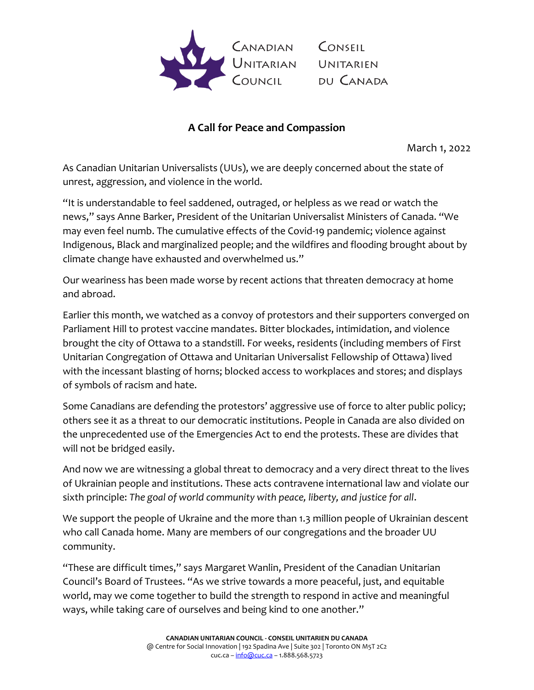

## **A Call for Peace and Compassion**

March 1, 2022

As Canadian Unitarian Universalists (UUs), we are deeply concerned about the state of unrest, aggression, and violence in the world.

"It is understandable to feel saddened, outraged, or helpless as we read or watch the news," says Anne Barker, President of the Unitarian Universalist Ministers of Canada. "We may even feel numb. The cumulative effects of the Covid-19 pandemic; violence against Indigenous, Black and marginalized people; and the wildfires and flooding brought about by climate change have exhausted and overwhelmed us."

Our weariness has been made worse by recent actions that threaten democracy at home and abroad.

Earlier this month, we watched as a convoy of protestors and their supporters converged on Parliament Hill to protest vaccine mandates. Bitter blockades, intimidation, and violence brought the city of Ottawa to a standstill. For weeks, residents (including members of First Unitarian Congregation of Ottawa and Unitarian Universalist Fellowship of Ottawa) lived with the incessant blasting of horns; blocked access to workplaces and stores; and displays of symbols of racism and hate.

Some Canadians are defending the protestors' aggressive use of force to alter public policy; others see it as a threat to our democratic institutions. People in Canada are also divided on the unprecedented use of the Emergencies Act to end the protests. These are divides that will not be bridged easily.

And now we are witnessing a global threat to democracy and a very direct threat to the lives of Ukrainian people and institutions. These acts contravene international law and violate our sixth principle: *The goal of world community with peace, liberty, and justice for all*.

We support the people of Ukraine and the more than 1.3 million people of Ukrainian descent who call Canada home. Many are members of our congregations and the broader UU community.

"These are difficult times," says Margaret Wanlin, President of the Canadian Unitarian Council's Board of Trustees. "As we strive towards a more peaceful, just, and equitable world, may we come together to build the strength to respond in active and meaningful ways, while taking care of ourselves and being kind to one another."